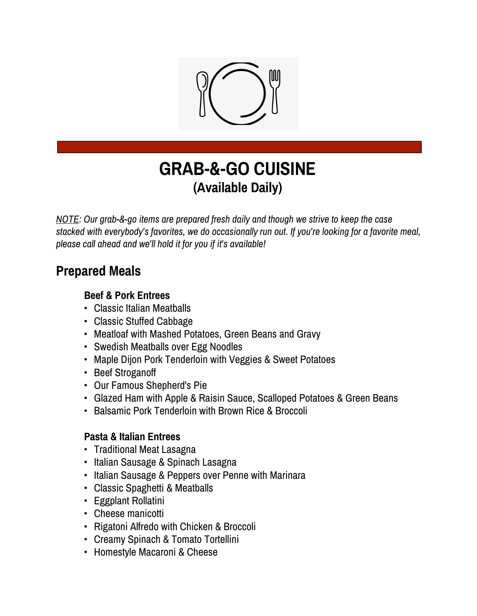

# **GRAB-&-GO CUISINE (Available Daily)**

*NOTE: Our grab-&-go items are prepared fresh daily and though we strive to keep the case stacked with everybody's favorites, we do occasionally run out. If you're looking for a favorite meal, please call ahead and we'll hold it for you if it's available!*

## **Prepared Meals**

#### **Beef & Pork Entrees**

- Classic Italian Meatballs
- Classic Stuffed Cabbage
- Meatloaf with Mashed Potatoes, Green Beans and Gravy
- Swedish Meatballs over Egg Noodles
- Maple Dijon Pork Tenderloin with Veggies & Sweet Potatoes
- Beef Stroganoff
- Our Famous Shepherd's Pie
- Glazed Ham with Apple & Raisin Sauce, Scalloped Potatoes & Green Beans
- Balsamic Pork Tenderloin with Brown Rice & Broccoli

#### **Pasta & Italian Entrees**

- Traditional Meat Lasagna
- Italian Sausage & Spinach Lasagna
- Italian Sausage & Peppers over Penne with Marinara
- Classic Spaghetti & Meatballs
- Eggplant Rollatini
- Cheese manicotti
- Rigatoni Alfredo with Chicken & Broccoli
- Creamy Spinach & Tomato Tortellini
- Homestyle Macaroni & Cheese